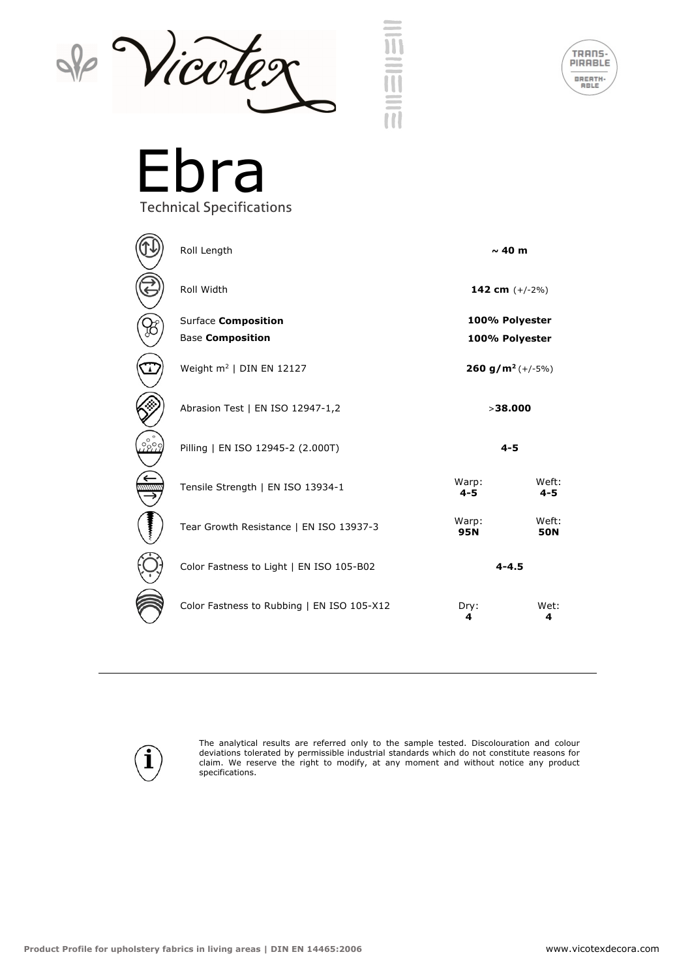



Ebra Technical Specifications

|       | Roll Length                                    | $\sim$ 40 m                      |                     |
|-------|------------------------------------------------|----------------------------------|---------------------|
|       | Roll Width                                     | 142 cm $(+/-2%)$                 |                     |
|       | Surface Composition<br><b>Base Composition</b> | 100% Polyester<br>100% Polyester |                     |
|       | Weight $m^2$   DIN EN 12127                    | 260 g/m <sup>2</sup> $(+/-5%)$   |                     |
|       | Abrasion Test   EN ISO 12947-1,2               | >38,000                          |                     |
| .2800 | Pilling   EN ISO 12945-2 (2.000T)              | $4 - 5$                          |                     |
|       | Tensile Strength   EN ISO 13934-1              | Warp:<br>$4 - 5$                 | Weft:<br>$4 - 5$    |
|       | Tear Growth Resistance   EN ISO 13937-3        | Warp:<br><b>95N</b>              | Weft:<br><b>50N</b> |
|       | Color Fastness to Light   EN ISO 105-B02       | $4 - 4.5$                        |                     |
|       | Color Fastness to Rubbing   EN ISO 105-X12     | Dry:<br>4                        | Wet:<br>4           |



The analytical results are referred only to the sample tested. Discolouration and colour deviations tolerated by permissible industrial standards which do not constitute reasons for claim. We reserve the right to modify, at any moment and without notice any product specifications.